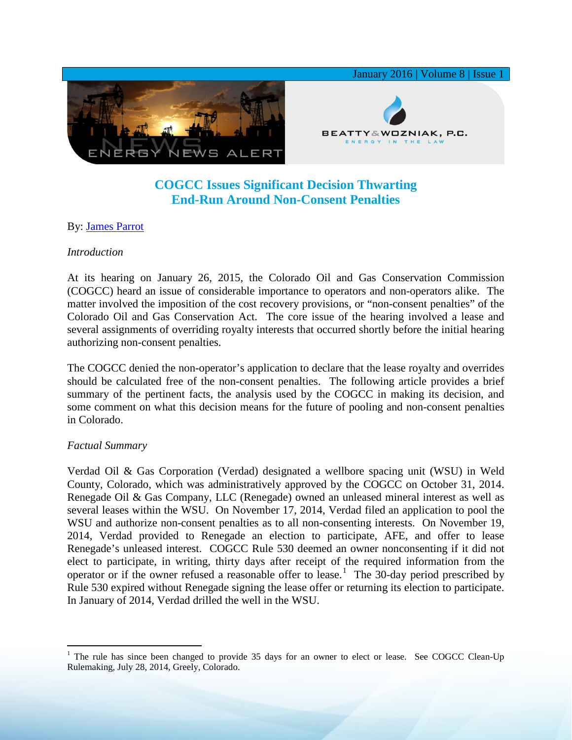

# **COGCC Issues Significant Decision Thwarting End-Run Around Non-Consent Penalties**

## By: [James Parrot](http://www.bwenergylaw.com/#!james-parrot/c1106)

### *Introduction*

At its hearing on January 26, 2015, the Colorado Oil and Gas Conservation Commission (COGCC) heard an issue of considerable importance to operators and non-operators alike. The matter involved the imposition of the cost recovery provisions, or "non-consent penalties" of the Colorado Oil and Gas Conservation Act. The core issue of the hearing involved a lease and several assignments of overriding royalty interests that occurred shortly before the initial hearing authorizing non-consent penalties.

The COGCC denied the non-operator's application to declare that the lease royalty and overrides should be calculated free of the non-consent penalties. The following article provides a brief summary of the pertinent facts, the analysis used by the COGCC in making its decision, and some comment on what this decision means for the future of pooling and non-consent penalties in Colorado.

### *Factual Summary*

Verdad Oil & Gas Corporation (Verdad) designated a wellbore spacing unit (WSU) in Weld County, Colorado, which was administratively approved by the COGCC on October 31, 2014. Renegade Oil & Gas Company, LLC (Renegade) owned an unleased mineral interest as well as several leases within the WSU. On November 17, 2014, Verdad filed an application to pool the WSU and authorize non-consent penalties as to all non-consenting interests. On November 19, 2014, Verdad provided to Renegade an election to participate, AFE, and offer to lease Renegade's unleased interest. COGCC Rule 530 deemed an owner nonconsenting if it did not elect to participate, in writing, thirty days after receipt of the required information from the operator or if the owner refused a reasonable offer to lease.<sup>[1](#page-0-0)</sup> The  $30$ -day period prescribed by Rule 530 expired without Renegade signing the lease offer or returning its election to participate. In January of 2014, Verdad drilled the well in the WSU.

<span id="page-0-0"></span><sup>&</sup>lt;sup>1</sup> The rule has since been changed to provide 35 days for an owner to elect or lease. See COGCC Clean-Up Rulemaking, July 28, 2014, Greely, Colorado.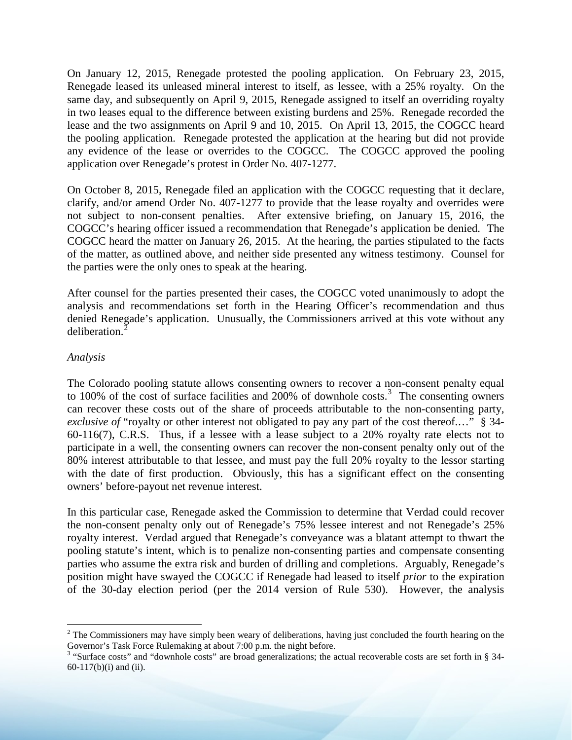On January 12, 2015, Renegade protested the pooling application. On February 23, 2015, Renegade leased its unleased mineral interest to itself, as lessee, with a 25% royalty. On the same day, and subsequently on April 9, 2015, Renegade assigned to itself an overriding royalty in two leases equal to the difference between existing burdens and 25%. Renegade recorded the lease and the two assignments on April 9 and 10, 2015. On April 13, 2015, the COGCC heard the pooling application. Renegade protested the application at the hearing but did not provide any evidence of the lease or overrides to the COGCC. The COGCC approved the pooling application over Renegade's protest in Order No. 407-1277.

On October 8, 2015, Renegade filed an application with the COGCC requesting that it declare, clarify, and/or amend Order No. 407-1277 to provide that the lease royalty and overrides were not subject to non-consent penalties. After extensive briefing, on January 15, 2016, the COGCC's hearing officer issued a recommendation that Renegade's application be denied. The COGCC heard the matter on January 26, 2015. At the hearing, the parties stipulated to the facts of the matter, as outlined above, and neither side presented any witness testimony. Counsel for the parties were the only ones to speak at the hearing.

After counsel for the parties presented their cases, the COGCC voted unanimously to adopt the analysis and recommendations set forth in the Hearing Officer's recommendation and thus denied Renegade's application. Unusually, the Commissioners arrived at this vote without any deliberation.<sup>[2](#page-1-0)</sup>

### *Analysis*

The Colorado pooling statute allows consenting owners to recover a non-consent penalty equal to  $100\%$  of the cost of surface facilities and  $200\%$  of downhole costs.<sup>[3](#page-1-1)</sup> The consenting owners can recover these costs out of the share of proceeds attributable to the non-consenting party, *exclusive of* "royalty or other interest not obligated to pay any part of the cost thereof.…" § 34- 60-116(7), C.R.S. Thus, if a lessee with a lease subject to a 20% royalty rate elects not to participate in a well, the consenting owners can recover the non-consent penalty only out of the 80% interest attributable to that lessee, and must pay the full 20% royalty to the lessor starting with the date of first production. Obviously, this has a significant effect on the consenting owners' before-payout net revenue interest.

In this particular case, Renegade asked the Commission to determine that Verdad could recover the non-consent penalty only out of Renegade's 75% lessee interest and not Renegade's 25% royalty interest. Verdad argued that Renegade's conveyance was a blatant attempt to thwart the pooling statute's intent, which is to penalize non-consenting parties and compensate consenting parties who assume the extra risk and burden of drilling and completions. Arguably, Renegade's position might have swayed the COGCC if Renegade had leased to itself *prior* to the expiration of the 30-day election period (per the 2014 version of Rule 530). However, the analysis

<span id="page-1-0"></span> $2$  The Commissioners may have simply been weary of deliberations, having just concluded the fourth hearing on the Governor's Task Force Rulemaking at about 7:00 p.m. the night before.

<span id="page-1-1"></span> $3$  "Surface costs" and "downhole costs" are broad generalizations; the actual recoverable costs are set forth in § 34-60-117(b)(i) and (ii).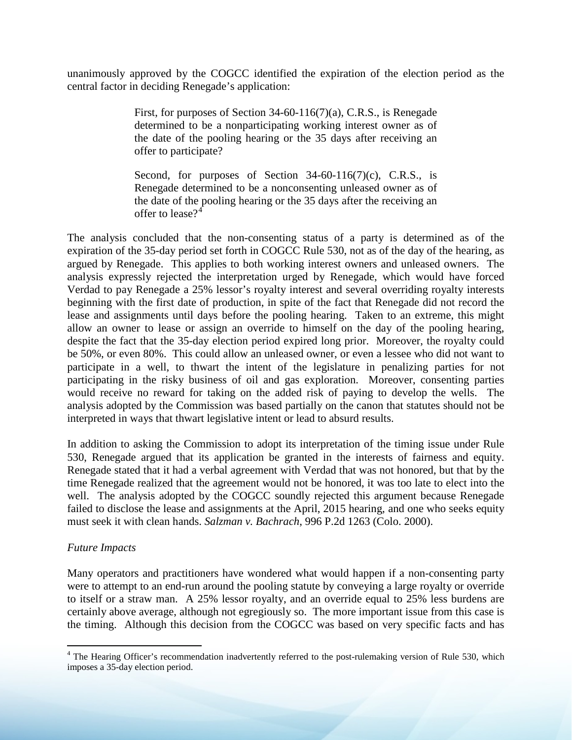unanimously approved by the COGCC identified the expiration of the election period as the central factor in deciding Renegade's application:

> First, for purposes of Section 34-60-116(7)(a), C.R.S., is Renegade determined to be a nonparticipating working interest owner as of the date of the pooling hearing or the 35 days after receiving an offer to participate?

> Second, for purposes of Section  $34-60-116(7)(c)$ , C.R.S., is Renegade determined to be a nonconsenting unleased owner as of the date of the pooling hearing or the 35 days after the receiving an offer to lease  $2^4$  $2^4$

The analysis concluded that the non-consenting status of a party is determined as of the expiration of the 35-day period set forth in COGCC Rule 530, not as of the day of the hearing, as argued by Renegade. This applies to both working interest owners and unleased owners. The analysis expressly rejected the interpretation urged by Renegade, which would have forced Verdad to pay Renegade a 25% lessor's royalty interest and several overriding royalty interests beginning with the first date of production, in spite of the fact that Renegade did not record the lease and assignments until days before the pooling hearing. Taken to an extreme, this might allow an owner to lease or assign an override to himself on the day of the pooling hearing, despite the fact that the 35-day election period expired long prior. Moreover, the royalty could be 50%, or even 80%. This could allow an unleased owner, or even a lessee who did not want to participate in a well, to thwart the intent of the legislature in penalizing parties for not participating in the risky business of oil and gas exploration. Moreover, consenting parties would receive no reward for taking on the added risk of paying to develop the wells. The analysis adopted by the Commission was based partially on the canon that statutes should not be interpreted in ways that thwart legislative intent or lead to absurd results.

In addition to asking the Commission to adopt its interpretation of the timing issue under Rule 530, Renegade argued that its application be granted in the interests of fairness and equity. Renegade stated that it had a verbal agreement with Verdad that was not honored, but that by the time Renegade realized that the agreement would not be honored, it was too late to elect into the well. The analysis adopted by the COGCC soundly rejected this argument because Renegade failed to disclose the lease and assignments at the April, 2015 hearing, and one who seeks equity must seek it with clean hands. *Salzman v. Bachrach*, 996 P.2d 1263 (Colo. 2000).

### *Future Impacts*

Many operators and practitioners have wondered what would happen if a non-consenting party were to attempt to an end-run around the pooling statute by conveying a large royalty or override to itself or a straw man. A 25% lessor royalty, and an override equal to 25% less burdens are certainly above average, although not egregiously so. The more important issue from this case is the timing. Although this decision from the COGCC was based on very specific facts and has

<span id="page-2-0"></span><sup>&</sup>lt;sup>4</sup> The Hearing Officer's recommendation inadvertently referred to the post-rulemaking version of Rule 530, which imposes a 35-day election period.